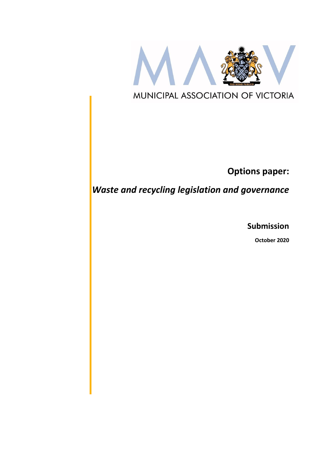

**Options paper:**

*Waste and recycling legislation and governance*

**Submission**

**October 2020**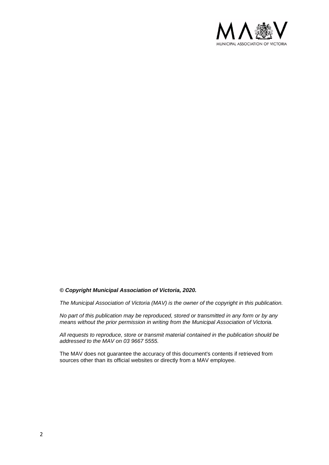

#### *© Copyright Municipal Association of Victoria, 2020.*

*The Municipal Association of Victoria (MAV) is the owner of the copyright in this publication.* 

*No part of this publication may be reproduced, stored or transmitted in any form or by any means without the prior permission in writing from the Municipal Association of Victoria.* 

*All requests to reproduce, store or transmit material contained in the publication should be addressed to the MAV on 03 9667 5555.* 

The MAV does not guarantee the accuracy of this document's contents if retrieved from sources other than its official websites or directly from a MAV employee.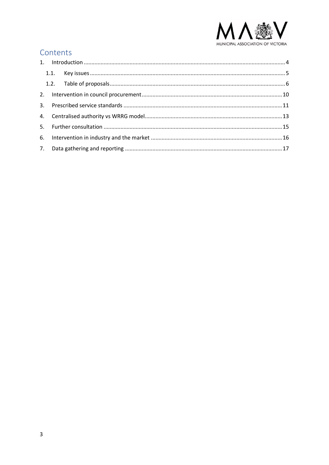

# Contents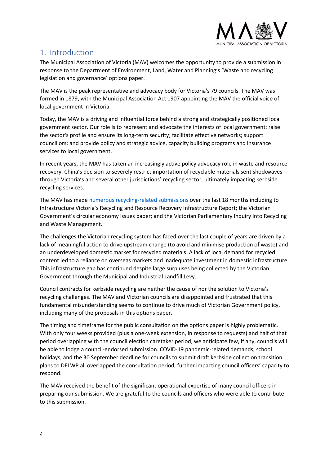

# <span id="page-3-0"></span>1. Introduction

The Municipal Association of Victoria (MAV) welcomes the opportunity to provide a submission in response to the Department of Environment, Land, Water and Planning's `Waste and recycling legislation and governance' options paper.

The MAV is the peak representative and advocacy body for Victoria's 79 councils. The MAV was formed in 1879, with the Municipal Association Act 1907 appointing the MAV the official voice of local government in Victoria.

Today, the MAV is a driving and influential force behind a strong and strategically positioned local government sector. Our role is to represent and advocate the interests of local government; raise the sector's profile and ensure its long-term security; facilitate effective networks; support councillors; and provide policy and strategic advice, capacity building programs and insurance services to local government.

In recent years, the MAV has taken an increasingly active policy advocacy role in waste and resource recovery. China's decision to severely restrict importation of recyclable materials sent shockwaves through Victoria's and several other jurisdictions' recycling sector, ultimately impacting kerbside recycling services.

The MAV has made [numerous recycling-related submissions](https://www.mav.asn.au/news-resources/publications/submissions) over the last 18 months including to Infrastructure Victoria's Recycling and Resource Recovery Infrastructure Report; the Victorian Government's circular economy issues paper; and the Victorian Parliamentary Inquiry into Recycling and Waste Management.

The challenges the Victorian recycling system has faced over the last couple of years are driven by a lack of meaningful action to drive upstream change (to avoid and minimise production of waste) and an underdeveloped domestic market for recycled materials. A lack of local demand for recycled content led to a reliance on overseas markets and inadequate investment in domestic infrastructure. This infrastructure gap has continued despite large surpluses being collected by the Victorian Government through the Municipal and Industrial Landfill Levy.

Council contracts for kerbside recycling are neither the cause of nor the solution to Victoria's recycling challenges. The MAV and Victorian councils are disappointed and frustrated that this fundamental misunderstanding seems to continue to drive much of Victorian Government policy, including many of the proposals in this options paper.

The timing and timeframe for the public consultation on the options paper is highly problematic. With only four weeks provided (plus a one-week extension, in response to requests) and half of that period overlapping with the council election caretaker period, we anticipate few, if any, councils will be able to lodge a council-endorsed submission. COVID-19 pandemic-related demands, school holidays, and the 30 September deadline for councils to submit draft kerbside collection transition plans to DELWP all overlapped the consultation period, further impacting council officers' capacity to respond.

The MAV received the benefit of the significant operational expertise of many council officers in preparing our submission. We are grateful to the councils and officers who were able to contribute to this submission.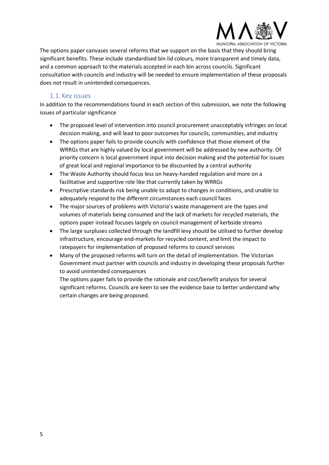

The options paper canvases several reforms that we support on the basis that they should bring significant benefits. These include standardised bin lid colours, more transparent and timely data, and a common approach to the materials accepted in each bin across councils. Significant consultation with councils and industry will be needed to ensure implementation of these proposals does not result in unintended consequences.

### 1.1. Key issues

<span id="page-4-0"></span>In addition to the recommendations found in each section of this submission, we note the following issues of particular significance

- The proposed level of intervention into council procurement unacceptably infringes on local decision making, and will lead to poor outcomes for councils, communities, and industry
- The options paper fails to provide councils with confidence that those element of the WRRGs that are highly valued by local government will be addressed by new authority. Of priority concern is local government input into decision making and the potential for issues of great local and regional importance to be discounted by a central authority
- The Waste Authority should focus less on heavy-handed regulation and more on a facilitative and supportive role like that currently taken by WRRGs
- Prescriptive standards risk being unable to adapt to changes in conditions, and unable to adequately respond to the different circumstances each council faces
- The major sources of problems with Victoria's waste management are the types and volumes of materials being consumed and the lack of markets for recycled materials, the options paper instead focuses largely on council management of kerbside streams
- The large surpluses collected through the landfill levy should be utilised to further develop infrastructure, encourage end-markets for recycled content, and limit the impact to ratepayers for implementation of proposed reforms to council services
- Many of the proposed reforms will turn on the detail of implementation. The Victorian Government must partner with councils and industry in developing these proposals further to avoid unintended consequences

The options paper fails to provide the rationale and cost/benefit analysis for several significant reforms. Councils are keen to see the evidence base to better understand why certain changes are being proposed.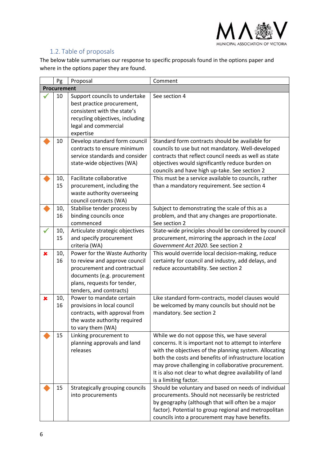

### 1.2. Table of proposals

<span id="page-5-0"></span>The below table summarises our response to specific proposals found in the options paper and where in the options paper they are found.

|                | Pg          | Proposal                                                                                                                                                                               | Comment                                                                                                                                                                                                                                                                                                                                                               |
|----------------|-------------|----------------------------------------------------------------------------------------------------------------------------------------------------------------------------------------|-----------------------------------------------------------------------------------------------------------------------------------------------------------------------------------------------------------------------------------------------------------------------------------------------------------------------------------------------------------------------|
|                | Procurement |                                                                                                                                                                                        |                                                                                                                                                                                                                                                                                                                                                                       |
|                | 10          | Support councils to undertake<br>best practice procurement,<br>consistent with the state's<br>recycling objectives, including<br>legal and commercial<br>expertise                     | See section 4                                                                                                                                                                                                                                                                                                                                                         |
|                | 10          | Develop standard form council<br>contracts to ensure minimum<br>service standards and consider<br>state-wide objectives (WA)                                                           | Standard form contracts should be available for<br>councils to use but not mandatory. Well-developed<br>contracts that reflect council needs as well as state<br>objectives would significantly reduce burden on<br>councils and have high up-take. See section 2                                                                                                     |
|                | 10,<br>15   | Facilitate collaborative<br>procurement, including the<br>waste authority overseeing<br>council contracts (WA)                                                                         | This must be a service available to councils, rather<br>than a mandatory requirement. See section 4                                                                                                                                                                                                                                                                   |
|                | 10,<br>16   | Stabilise tender process by<br>binding councils once<br>commenced                                                                                                                      | Subject to demonstrating the scale of this as a<br>problem, and that any changes are proportionate.<br>See section 2                                                                                                                                                                                                                                                  |
|                | 10,<br>15   | Articulate strategic objectives<br>and specify procurement<br>criteria (WA)                                                                                                            | State-wide principles should be considered by council<br>procurement, mirroring the approach in the Local<br>Government Act 2020. See section 2                                                                                                                                                                                                                       |
| $\pmb{\times}$ | 10,<br>16   | Power for the Waste Authority<br>to review and approve council<br>procurement and contractual<br>documents (e.g. procurement<br>plans, requests for tender,<br>tenders, and contracts) | This would override local decision-making, reduce<br>certainty for council and industry, add delays, and<br>reduce accountability. See section 2                                                                                                                                                                                                                      |
| ×              | 10,<br>16   | Power to mandate certain<br>provisions in local council<br>contracts, with approval from<br>the waste authority required<br>to vary them (WA)                                          | Like standard form-contracts, model clauses would<br>be welcomed by many councils but should not be<br>mandatory. See section 2                                                                                                                                                                                                                                       |
|                | 15          | Linking procurement to<br>planning approvals and land<br>releases                                                                                                                      | While we do not oppose this, we have several<br>concerns. It is important not to attempt to interfere<br>with the objectives of the planning system. Allocating<br>both the costs and benefits of infrastructure location<br>may prove challenging in collaborative procurement.<br>It is also not clear to what degree availability of land<br>is a limiting factor. |
|                | 15          | Strategically grouping councils<br>into procurements                                                                                                                                   | Should be voluntary and based on needs of individual<br>procurements. Should not necessarily be restricted<br>by geography (although that will often be a major<br>factor). Potential to group regional and metropolitan<br>councils into a procurement may have benefits.                                                                                            |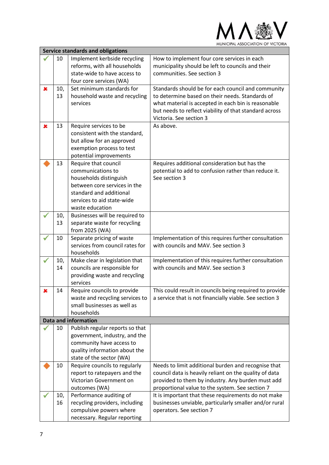

| <b>Service standards and obligations</b> |     |                                                         |                                                         |
|------------------------------------------|-----|---------------------------------------------------------|---------------------------------------------------------|
|                                          | 10  | Implement kerbside recycling                            | How to implement four core services in each             |
|                                          |     | reforms, with all households                            | municipality should be left to councils and their       |
|                                          |     | state-wide to have access to                            | communities. See section 3                              |
|                                          |     | four core services (WA)                                 |                                                         |
| $\pmb{\times}$                           | 10, | Set minimum standards for                               | Standards should be for each council and community      |
|                                          | 13  | household waste and recycling                           | to determine based on their needs. Standards of         |
|                                          |     | services                                                | what material is accepted in each bin is reasonable     |
|                                          |     |                                                         | but needs to reflect viability of that standard across  |
|                                          |     |                                                         | Victoria. See section 3                                 |
| $\pmb{\times}$                           | 13  | Require services to be                                  | As above.                                               |
|                                          |     | consistent with the standard,                           |                                                         |
|                                          |     | but allow for an approved                               |                                                         |
|                                          |     | exemption process to test                               |                                                         |
|                                          |     | potential improvements                                  |                                                         |
|                                          | 13  | Require that council                                    | Requires additional consideration but has the           |
|                                          |     | communications to                                       | potential to add to confusion rather than reduce it.    |
|                                          |     | households distinguish                                  | See section 3                                           |
|                                          |     | between core services in the                            |                                                         |
|                                          |     | standard and additional                                 |                                                         |
|                                          |     | services to aid state-wide                              |                                                         |
|                                          |     | waste education                                         |                                                         |
|                                          | 10, | Businesses will be required to                          |                                                         |
|                                          | 13  | separate waste for recycling                            |                                                         |
|                                          |     | from 2025 (WA)                                          |                                                         |
|                                          | 10  | Separate pricing of waste                               | Implementation of this requires further consultation    |
|                                          |     | services from council rates for                         | with councils and MAV. See section 3                    |
|                                          |     | households                                              |                                                         |
|                                          | 10, | Make clear in legislation that                          | Implementation of this requires further consultation    |
|                                          | 14  | councils are responsible for                            | with councils and MAV. See section 3                    |
|                                          |     | providing waste and recycling                           |                                                         |
|                                          |     | services                                                |                                                         |
| x                                        | 14  | Require councils to provide                             | This could result in councils being required to provide |
|                                          |     | waste and recycling services to                         | a service that is not financially viable. See section 3 |
|                                          |     | small businesses as well as                             |                                                         |
|                                          |     | households                                              |                                                         |
|                                          |     | <b>Data and information</b>                             |                                                         |
|                                          | 10  | Publish regular reports so that                         |                                                         |
|                                          |     | government, industry, and the                           |                                                         |
|                                          |     | community have access to                                |                                                         |
|                                          |     | quality information about the                           |                                                         |
|                                          |     | state of the sector (WA)                                |                                                         |
|                                          | 10  | Require councils to regularly                           | Needs to limit additional burden and recognise that     |
|                                          |     | report to ratepayers and the                            | council data is heavily reliant on the quality of data  |
|                                          |     | Victorian Government on                                 | provided to them by industry. Any burden must add       |
|                                          |     | outcomes (WA)                                           | proportional value to the system. See section 7         |
|                                          | 10, | Performance auditing of                                 | It is important that these requirements do not make     |
|                                          | 16  | recycling providers, including                          | businesses unviable, particularly smaller and/or rural  |
|                                          |     | compulsive powers where<br>necessary. Regular reporting | operators. See section 7                                |
|                                          |     |                                                         |                                                         |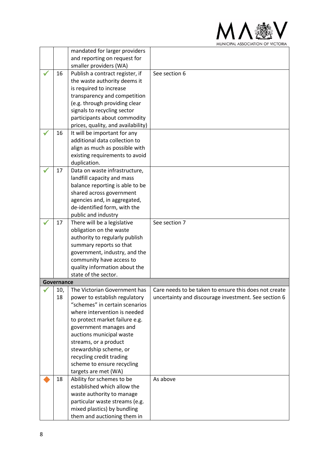

|            | mandated for larger providers                             |                                                       |
|------------|-----------------------------------------------------------|-------------------------------------------------------|
|            | and reporting on request for<br>smaller providers (WA)    |                                                       |
| 16         | Publish a contract register, if                           | See section 6                                         |
|            | the waste authority deems it                              |                                                       |
|            | is required to increase                                   |                                                       |
|            | transparency and competition                              |                                                       |
|            | (e.g. through providing clear                             |                                                       |
|            | signals to recycling sector                               |                                                       |
|            | participants about commodity                              |                                                       |
|            | prices, quality, and availability)                        |                                                       |
| 16         | It will be important for any                              |                                                       |
|            | additional data collection to                             |                                                       |
|            | align as much as possible with                            |                                                       |
|            | existing requirements to avoid                            |                                                       |
|            | duplication.                                              |                                                       |
| 17         | Data on waste infrastructure,                             |                                                       |
|            | landfill capacity and mass                                |                                                       |
|            | balance reporting is able to be                           |                                                       |
|            | shared across government                                  |                                                       |
|            | agencies and, in aggregated,                              |                                                       |
|            | de-identified form, with the                              |                                                       |
|            | public and industry                                       | See section 7                                         |
| 17         | There will be a legislative                               |                                                       |
|            | obligation on the waste<br>authority to regularly publish |                                                       |
|            | summary reports so that                                   |                                                       |
|            | government, industry, and the                             |                                                       |
|            | community have access to                                  |                                                       |
|            | quality information about the                             |                                                       |
|            | state of the sector.                                      |                                                       |
| Governance |                                                           |                                                       |
| 10,        | The Victorian Government has                              | Care needs to be taken to ensure this does not create |
| 18         | power to establish regulatory                             | uncertainty and discourage investment. See section 6  |
|            | "schemes" in certain scenarios                            |                                                       |
|            | where intervention is needed                              |                                                       |
|            | to protect market failure e.g.                            |                                                       |
|            | government manages and                                    |                                                       |
|            | auctions municipal waste                                  |                                                       |
|            | streams, or a product                                     |                                                       |
|            | stewardship scheme, or                                    |                                                       |
|            | recycling credit trading                                  |                                                       |
|            | scheme to ensure recycling                                |                                                       |
|            | targets are met (WA)                                      |                                                       |
| 18         | Ability for schemes to be                                 | As above                                              |
|            | established which allow the                               |                                                       |
|            | waste authority to manage                                 |                                                       |
|            | particular waste streams (e.g.                            |                                                       |
|            | mixed plastics) by bundling                               |                                                       |
|            | them and auctioning them in                               |                                                       |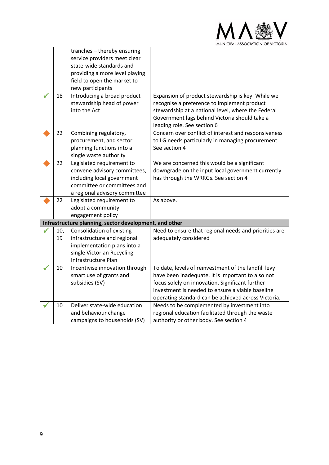

|     | tranches - thereby ensuring<br>service providers meet clear<br>state-wide standards and |                                                                                                           |
|-----|-----------------------------------------------------------------------------------------|-----------------------------------------------------------------------------------------------------------|
|     | providing a more level playing                                                          |                                                                                                           |
|     | field to open the market to                                                             |                                                                                                           |
|     | new participants                                                                        |                                                                                                           |
| 18  | Introducing a broad product                                                             | Expansion of product stewardship is key. While we                                                         |
|     | stewardship head of power                                                               | recognise a preference to implement product                                                               |
|     | into the Act                                                                            | stewardship at a national level, where the Federal                                                        |
|     |                                                                                         | Government lags behind Victoria should take a                                                             |
|     |                                                                                         | leading role. See section 6                                                                               |
| 22  | Combining regulatory,<br>procurement, and sector                                        | Concern over conflict of interest and responsiveness<br>to LG needs particularly in managing procurement. |
|     | planning functions into a                                                               | See section 4                                                                                             |
|     | single waste authority                                                                  |                                                                                                           |
| 22  | Legislated requirement to                                                               | We are concerned this would be a significant                                                              |
|     | convene advisory committees,                                                            | downgrade on the input local government currently                                                         |
|     | including local government                                                              | has through the WRRGs. See section 4                                                                      |
|     | committee or committees and                                                             |                                                                                                           |
|     | a regional advisory committee                                                           |                                                                                                           |
| 22  | Legislated requirement to                                                               | As above.                                                                                                 |
|     | adopt a community                                                                       |                                                                                                           |
|     | engagement policy                                                                       |                                                                                                           |
|     | Infrastructure planning, sector development, and other                                  |                                                                                                           |
| 10, | Consolidation of existing                                                               | Need to ensure that regional needs and priorities are                                                     |
| 19  | infrastructure and regional                                                             | adequately considered                                                                                     |
|     | implementation plans into a                                                             |                                                                                                           |
|     | single Victorian Recycling                                                              |                                                                                                           |
|     | Infrastructure Plan                                                                     |                                                                                                           |
| 10  | Incentivise innovation through                                                          | To date, levels of reinvestment of the landfill levy                                                      |
|     | smart use of grants and                                                                 | have been inadequate. It is important to also not                                                         |
|     | subsidies (SV)                                                                          | focus solely on innovation. Significant further                                                           |
|     |                                                                                         | investment is needed to ensure a viable baseline<br>operating standard can be achieved across Victoria.   |
| 10  | Deliver state-wide education                                                            | Needs to be complemented by investment into                                                               |
|     | and behaviour change                                                                    | regional education facilitated through the waste                                                          |
|     | campaigns to households (SV)                                                            | authority or other body. See section 4                                                                    |
|     |                                                                                         |                                                                                                           |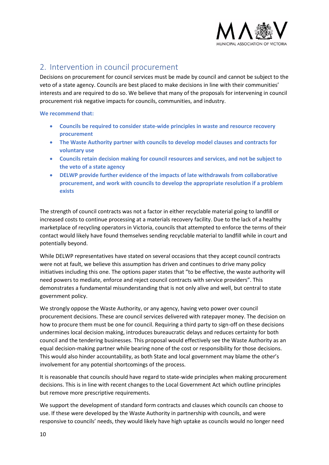

# <span id="page-9-0"></span>2. Intervention in council procurement

Decisions on procurement for council services must be made by council and cannot be subject to the veto of a state agency. Councils are best placed to make decisions in line with their communities' interests and are required to do so. We believe that many of the proposals for intervening in council procurement risk negative impacts for councils, communities, and industry.

#### **We recommend that:**

- **Councils be required to consider state-wide principles in waste and resource recovery procurement**
- **The Waste Authority partner with councils to develop model clauses and contracts for voluntary use**
- **Councils retain decision making for council resources and services, and not be subject to the veto of a state agency**
- **DELWP provide further evidence of the impacts of late withdrawals from collaborative procurement, and work with councils to develop the appropriate resolution if a problem exists**

The strength of council contracts was not a factor in either recyclable material going to landfill or increased costs to continue processing at a materials recovery facility. Due to the lack of a healthy marketplace of recycling operators in Victoria, councils that attempted to enforce the terms of their contact would likely have found themselves sending recyclable material to landfill while in court and potentially beyond.

While DELWP representatives have stated on several occasions that they accept council contracts were not at fault, we believe this assumption has driven and continues to drive many policy initiatives including this one. The options paper states that "to be effective, the waste authority will need powers to mediate, enforce and reject council contracts with service providers". This demonstrates a fundamental misunderstanding that is not only alive and well, but central to state government policy.

We strongly oppose the Waste Authority, or any agency, having veto power over council procurement decisions. These are council services delivered with ratepayer money. The decision on how to procure them must be one for council. Requiring a third party to sign-off on these decisions undermines local decision making, introduces bureaucratic delays and reduces certainty for both council and the tendering businesses. This proposal would effectively see the Waste Authority as an equal decision-making partner while bearing none of the cost or responsibility for those decisions. This would also hinder accountability, as both State and local government may blame the other's involvement for any potential shortcomings of the process.

It is reasonable that councils should have regard to state-wide principles when making procurement decisions. This is in line with recent changes to the Local Government Act which outline principles but remove more prescriptive requirements.

We support the development of standard form contracts and clauses which councils can choose to use. If these were developed by the Waste Authority in partnership with councils, and were responsive to councils' needs, they would likely have high uptake as councils would no longer need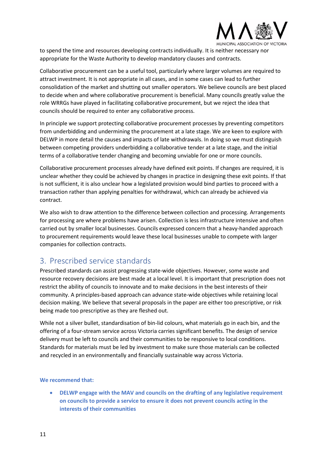

to spend the time and resources developing contracts individually. It is neither necessary nor appropriate for the Waste Authority to develop mandatory clauses and contracts.

Collaborative procurement can be a useful tool, particularly where larger volumes are required to attract investment. It is not appropriate in all cases, and in some cases can lead to further consolidation of the market and shutting out smaller operators. We believe councils are best placed to decide when and where collaborative procurement is beneficial. Many councils greatly value the role WRRGs have played in facilitating collaborative procurement, but we reject the idea that councils should be required to enter any collaborative process.

In principle we support protecting collaborative procurement processes by preventing competitors from underbidding and undermining the procurement at a late stage. We are keen to explore with DELWP in more detail the causes and impacts of late withdrawals. In doing so we must distinguish between competing providers underbidding a collaborative tender at a late stage, and the initial terms of a collaborative tender changing and becoming unviable for one or more councils.

Collaborative procurement processes already have defined exit points. If changes are required, it is unclear whether they could be achieved by changes in practice in designing these exit points. If that is not sufficient, it is also unclear how a legislated provision would bind parties to proceed with a transaction rather than applying penalties for withdrawal, which can already be achieved via contract.

We also wish to draw attention to the difference between collection and processing. Arrangements for processing are where problems have arisen. Collection is less infrastructure intensive and often carried out by smaller local businesses. Councils expressed concern that a heavy-handed approach to procurement requirements would leave these local businesses unable to compete with larger companies for collection contracts.

# <span id="page-10-0"></span>3. Prescribed service standards

Prescribed standards can assist progressing state-wide objectives. However, some waste and resource recovery decisions are best made at a local level. It is important that prescription does not restrict the ability of councils to innovate and to make decisions in the best interests of their community. A principles-based approach can advance state-wide objectives while retaining local decision making. We believe that several proposals in the paper are either too prescriptive, or risk being made too prescriptive as they are fleshed out.

While not a silver bullet, standardisation of bin-lid colours, what materials go in each bin, and the offering of a four-stream service across Victoria carries significant benefits. The design of service delivery must be left to councils and their communities to be responsive to local conditions. Standards for materials must be led by investment to make sure those materials can be collected and recycled in an environmentally and financially sustainable way across Victoria.

#### **We recommend that:**

• **DELWP engage with the MAV and councils on the drafting of any legislative requirement on councils to provide a service to ensure it does not prevent councils acting in the interests of their communities**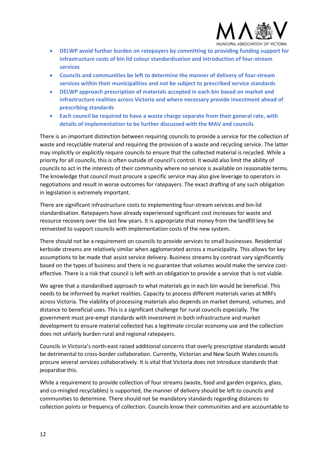

- **DELWP avoid further burden on ratepayers by committing to providing funding support for infrastructure costs of bin lid colour standardisation and introduction of four-stream services**
- **Councils and communities be left to determine the manner of delivery of four-stream services within their municipalities and not be subject to prescribed service standards**
- **DELWP approach prescription of materials accepted in each bin based on market and infrastructure realities across Victoria and where necessary provide investment ahead of prescribing standards**
- **Each council be required to have a waste charge separate from their general rate, with details of implementation to be further discussed with the MAV and councils**

There is an important distinction between requiring councils to provide a service for the collection of waste and recyclable material and requiring the provision of a waste and recycling service. The latter may implicitly or explicitly require councils to ensure that the collected material is recycled. While a priority for all councils, this is often outside of council's control. It would also limit the ability of councils to act in the interests of their community where no service is available on reasonable terms. The knowledge that council must procure a specific service may also give leverage to operators in negotiations and result in worse outcomes for ratepayers. The exact drafting of any such obligation in legislation is extremely important.

There are significant infrastructure costs to implementing four-stream services and bin-lid standardisation. Ratepayers have already experienced significant cost increases for waste and resource recovery over the last few years. It is appropriate that money from the landfill levy be reinvested to support councils with implementation costs of the new system.

There should not be a requirement on councils to provide services to small businesses. Residential kerbside streams are relatively similar when agglomerated across a municipality. This allows for key assumptions to be made that assist service delivery. Business streams by contrast vary significantly based on the types of business and there is no guarantee that volumes would make the service costeffective. There is a risk that council is left with an obligation to provide a service that is not viable.

We agree that a standardised approach to what materials go in each bin would be beneficial. This needs to be informed by market realities. Capacity to process different materials varies at MRFs across Victoria. The viability of processing materials also depends on market demand, volumes, and distance to beneficial uses. This is a significant challenge for rural councils especially. The government must pre-empt standards with investment in both infrastructure and market development to ensure material collected has a legitimate circular economy use and the collection does not unfairly burden rural and regional ratepayers.

Councils in Victoria's north-east raised additional concerns that overly prescriptive standards would be detrimental to cross-border collaboration. Currently, Victorian and New South Wales councils procure several services collaboratively. It is vital that Victoria does not introduce standards that jeopardise this.

While a requirement to provide collection of four streams (waste, food and garden organics, glass, and co-mingled recyclables) is supported, the manner of delivery should be left to councils and communities to determine. There should not be mandatory standards regarding distances to collection points or frequency of collection. Councils know their communities and are accountable to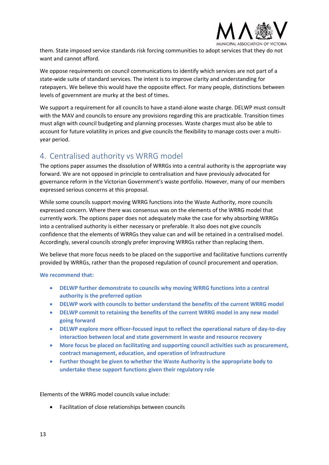

them. State imposed service standards risk forcing communities to adopt services that they do not want and cannot afford.

We oppose requirements on council communications to identify which services are not part of a state-wide suite of standard services. The intent is to improve clarity and understanding for ratepayers. We believe this would have the opposite effect. For many people, distinctions between levels of government are murky at the best of times.

We support a requirement for all councils to have a stand-alone waste charge. DELWP must consult with the MAV and councils to ensure any provisions regarding this are practicable. Transition times must align with council budgeting and planning processes. Waste charges must also be able to account for future volatility in prices and give councils the flexibility to manage costs over a multiyear period.

# <span id="page-12-0"></span>4. Centralised authority vs WRRG model

The options paper assumes the dissolution of WRRGs into a central authority is the appropriate way forward. We are not opposed in principle to centralisation and have previously advocated for governance reform in the Victorian Government's waste portfolio. However, many of our members expressed serious concerns at this proposal.

While some councils support moving WRRG functions into the Waste Authority, more councils expressed concern. Where there was consensus was on the elements of the WRRG model that currently work. The options paper does not adequately make the case for why absorbing WRRGs into a centralised authority is either necessary or preferable. It also does not give councils confidence that the elements of WRRGs they value can and will be retained in a centralised model. Accordingly, several councils strongly prefer improving WRRGs rather than replacing them.

We believe that more focus needs to be placed on the supportive and facilitative functions currently provided by WRRGs, rather than the proposed regulation of council procurement and operation.

**We recommend that:**

- **DELWP further demonstrate to councils why moving WRRG functions into a central authority is the preferred option**
- **DELWP work with councils to better understand the benefits of the current WRRG model**
- **DELWP commit to retaining the benefits of the current WRRG model in any new model going forward**
- **DELWP explore more officer-focused input to reflect the operational nature of day-to-day interaction between local and state government in waste and resource recovery**
- **More focus be placed on facilitating and supporting council activities such as procurement, contract management, education, and operation of infrastructure**
- **Further thought be given to whether the Waste Authority is the appropriate body to undertake these support functions given their regulatory role**

Elements of the WRRG model councils value include:

• Facilitation of close relationships between councils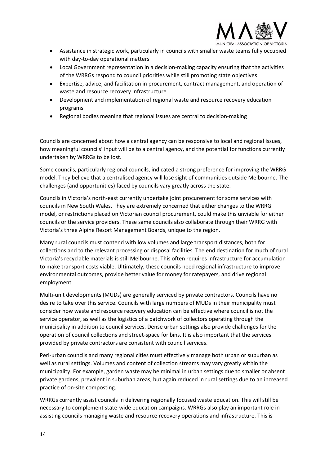

- Assistance in strategic work, particularly in councils with smaller waste teams fully occupied with day-to-day operational matters
- Local Government representation in a decision-making capacity ensuring that the activities of the WRRGs respond to council priorities while still promoting state objectives
- Expertise, advice, and facilitation in procurement, contract management, and operation of waste and resource recovery infrastructure
- Development and implementation of regional waste and resource recovery education programs
- Regional bodies meaning that regional issues are central to decision-making

Councils are concerned about how a central agency can be responsive to local and regional issues, how meaningful councils' input will be to a central agency, and the potential for functions currently undertaken by WRRGs to be lost.

Some councils, particularly regional councils, indicated a strong preference for improving the WRRG model. They believe that a centralised agency will lose sight of communities outside Melbourne. The challenges (and opportunities) faced by councils vary greatly across the state.

Councils in Victoria's north-east currently undertake joint procurement for some services with councils in New South Wales. They are extremely concerned that either changes to the WRRG model, or restrictions placed on Victorian council procurement, could make this unviable for either councils or the service providers. These same councils also collaborate through their WRRG with Victoria's three Alpine Resort Management Boards, unique to the region.

Many rural councils must contend with low volumes and large transport distances, both for collections and to the relevant processing or disposal facilities. The end destination for much of rural Victoria's recyclable materials is still Melbourne. This often requires infrastructure for accumulation to make transport costs viable. Ultimately, these councils need regional infrastructure to improve environmental outcomes, provide better value for money for ratepayers, and drive regional employment.

Multi-unit developments (MUDs) are generally serviced by private contractors. Councils have no desire to take over this service. Councils with large numbers of MUDs in their municipality must consider how waste and resource recovery education can be effective where council is not the service operator, as well as the logistics of a patchwork of collectors operating through the municipality in addition to council services. Dense urban settings also provide challenges for the operation of council collections and street-space for bins. It is also important that the services provided by private contractors are consistent with council services.

Peri-urban councils and many regional cities must effectively manage both urban or suburban as well as rural settings. Volumes and content of collection streams may vary greatly within the municipality. For example, garden waste may be minimal in urban settings due to smaller or absent private gardens, prevalent in suburban areas, but again reduced in rural settings due to an increased practice of on-site composting.

WRRGs currently assist councils in delivering regionally focused waste education. This will still be necessary to complement state-wide education campaigns. WRRGs also play an important role in assisting councils managing waste and resource recovery operations and infrastructure. This is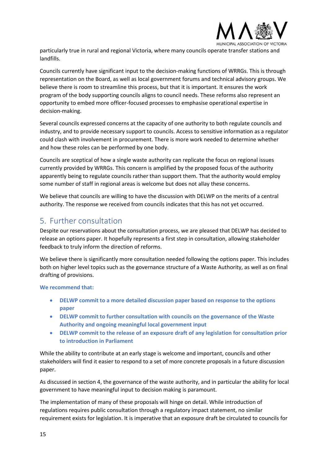

particularly true in rural and regional Victoria, where many councils operate transfer stations and landfills.

Councils currently have significant input to the decision-making functions of WRRGs. This is through representation on the Board, as well as local government forums and technical advisory groups. We believe there is room to streamline this process, but that it is important. It ensures the work program of the body supporting councils aligns to council needs. These reforms also represent an opportunity to embed more officer-focused processes to emphasise operational expertise in decision-making.

Several councils expressed concerns at the capacity of one authority to both regulate councils and industry, and to provide necessary support to councils. Access to sensitive information as a regulator could clash with involvement in procurement. There is more work needed to determine whether and how these roles can be performed by one body.

Councils are sceptical of how a single waste authority can replicate the focus on regional issues currently provided by WRRGs. This concern is amplified by the proposed focus of the authority apparently being to regulate councils rather than support them. That the authority would employ some number of staff in regional areas is welcome but does not allay these concerns.

We believe that councils are willing to have the discussion with DELWP on the merits of a central authority. The response we received from councils indicates that this has not yet occurred.

## <span id="page-14-0"></span>5. Further consultation

Despite our reservations about the consultation process, we are pleased that DELWP has decided to release an options paper. It hopefully represents a first step in consultation, allowing stakeholder feedback to truly inform the direction of reforms.

We believe there is significantly more consultation needed following the options paper. This includes both on higher level topics such as the governance structure of a Waste Authority, as well as on final drafting of provisions.

#### **We recommend that:**

- **DELWP commit to a more detailed discussion paper based on response to the options paper**
- **DELWP commit to further consultation with councils on the governance of the Waste Authority and ongoing meaningful local government input**
- **DELWP commit to the release of an exposure draft of any legislation for consultation prior to introduction in Parliament**

While the ability to contribute at an early stage is welcome and important, councils and other stakeholders will find it easier to respond to a set of more concrete proposals in a future discussion paper.

As discussed in section [4,](#page-12-0) the governance of the waste authority, and in particular the ability for local government to have meaningful input to decision making is paramount.

The implementation of many of these proposals will hinge on detail. While introduction of regulations requires public consultation through a regulatory impact statement, no similar requirement exists for legislation. It is imperative that an exposure draft be circulated to councils for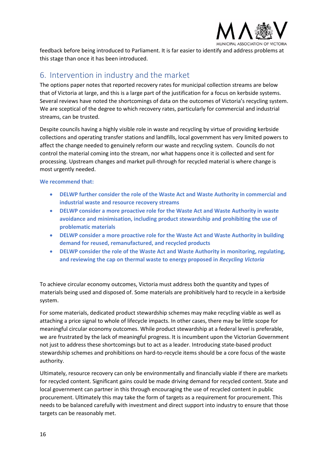

feedback before being introduced to Parliament. It is far easier to identify and address problems at this stage than once it has been introduced.

## <span id="page-15-0"></span>6. Intervention in industry and the market

The options paper notes that reported recovery rates for municipal collection streams are below that of Victoria at large, and this is a large part of the justification for a focus on kerbside systems. Several reviews have noted the shortcomings of data on the outcomes of Victoria's recycling system. We are sceptical of the degree to which recovery rates, particularly for commercial and industrial streams, can be trusted.

Despite councils having a highly visible role in waste and recycling by virtue of providing kerbside collections and operating transfer stations and landfills, local government has very limited powers to affect the change needed to genuinely reform our waste and recycling system. Councils do not control the material coming into the stream, nor what happens once it is collected and sent for processing. Upstream changes and market pull-through for recycled material is where change is most urgently needed.

**We recommend that:**

- **DELWP further consider the role of the Waste Act and Waste Authority in commercial and industrial waste and resource recovery streams**
- **DELWP consider a more proactive role for the Waste Act and Waste Authority in waste avoidance and minimisation, including product stewardship and prohibiting the use of problematic materials**
- **DELWP consider a more proactive role for the Waste Act and Waste Authority in building demand for reused, remanufactured, and recycled products**
- **DELWP consider the role of the Waste Act and Waste Authority in monitoring, regulating, and reviewing the cap on thermal waste to energy proposed in** *Recycling Victoria*

To achieve circular economy outcomes, Victoria must address both the quantity and types of materials being used and disposed of. Some materials are prohibitively hard to recycle in a kerbside system.

For some materials, dedicated product stewardship schemes may make recycling viable as well as attaching a price signal to whole of lifecycle impacts. In other cases, there may be little scope for meaningful circular economy outcomes. While product stewardship at a federal level is preferable, we are frustrated by the lack of meaningful progress. It is incumbent upon the Victorian Government not just to address these shortcomings but to act as a leader. Introducing state-based product stewardship schemes and prohibitions on hard-to-recycle items should be a core focus of the waste authority.

Ultimately, resource recovery can only be environmentally and financially viable if there are markets for recycled content. Significant gains could be made driving demand for recycled content. State and local government can partner in this through encouraging the use of recycled content in public procurement. Ultimately this may take the form of targets as a requirement for procurement. This needs to be balanced carefully with investment and direct support into industry to ensure that those targets can be reasonably met.